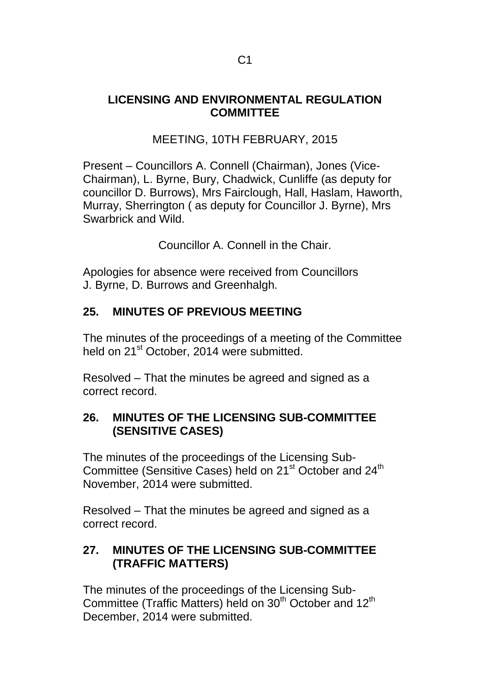### **LICENSING AND ENVIRONMENTAL REGULATION COMMITTEE**

# MEETING, 10TH FEBRUARY, 2015

Present – Councillors A. Connell (Chairman), Jones (Vice-Chairman), L. Byrne, Bury, Chadwick, Cunliffe (as deputy for councillor D. Burrows), Mrs Fairclough, Hall, Haslam, Haworth, Murray, Sherrington ( as deputy for Councillor J. Byrne), Mrs Swarbrick and Wild.

Councillor A. Connell in the Chair.

Apologies for absence were received from Councillors J. Byrne, D. Burrows and Greenhalgh.

## **25. MINUTES OF PREVIOUS MEETING**

The minutes of the proceedings of a meeting of the Committee held on 21<sup>st</sup> October, 2014 were submitted.

Resolved – That the minutes be agreed and signed as a correct record.

### **26. MINUTES OF THE LICENSING SUB-COMMITTEE (SENSITIVE CASES)**

The minutes of the proceedings of the Licensing Sub-Committee (Sensitive Cases) held on 21<sup>st</sup> October and 24<sup>th</sup> November, 2014 were submitted.

Resolved – That the minutes be agreed and signed as a correct record.

### **27. MINUTES OF THE LICENSING SUB-COMMITTEE (TRAFFIC MATTERS)**

The minutes of the proceedings of the Licensing Sub-Committee (Traffic Matters) held on 30<sup>th</sup> October and 12<sup>th</sup> December, 2014 were submitted.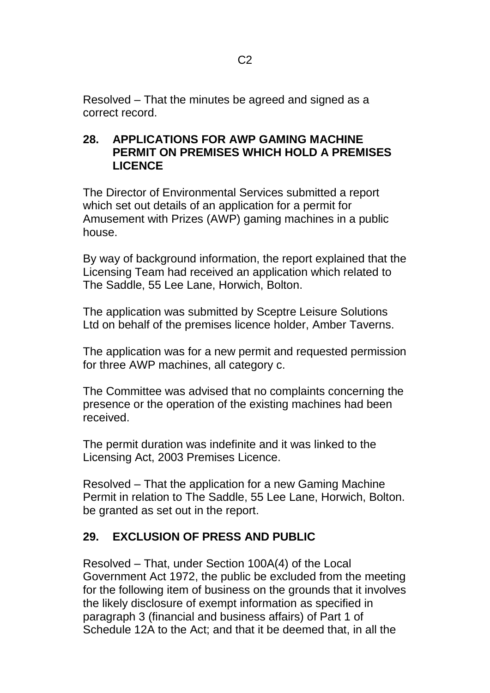Resolved – That the minutes be agreed and signed as a correct record.

### **28. APPLICATIONS FOR AWP GAMING MACHINE PERMIT ON PREMISES WHICH HOLD A PREMISES LICENCE**

The Director of Environmental Services submitted a report which set out details of an application for a permit for Amusement with Prizes (AWP) gaming machines in a public house.

By way of background information, the report explained that the Licensing Team had received an application which related to The Saddle, 55 Lee Lane, Horwich, Bolton.

The application was submitted by Sceptre Leisure Solutions Ltd on behalf of the premises licence holder, Amber Taverns.

The application was for a new permit and requested permission for three AWP machines, all category c.

The Committee was advised that no complaints concerning the presence or the operation of the existing machines had been received.

The permit duration was indefinite and it was linked to the Licensing Act, 2003 Premises Licence.

Resolved – That the application for a new Gaming Machine Permit in relation to The Saddle, 55 Lee Lane, Horwich, Bolton. be granted as set out in the report.

# **29. EXCLUSION OF PRESS AND PUBLIC**

Resolved – That, under Section 100A(4) of the Local Government Act 1972, the public be excluded from the meeting for the following item of business on the grounds that it involves the likely disclosure of exempt information as specified in paragraph 3 (financial and business affairs) of Part 1 of Schedule 12A to the Act; and that it be deemed that, in all the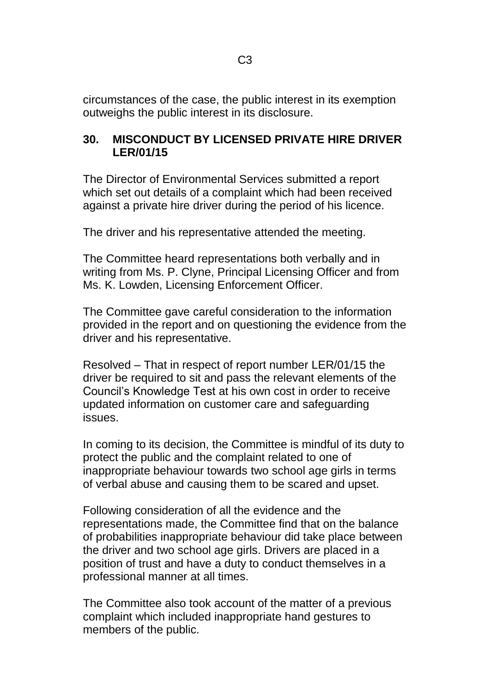circumstances of the case, the public interest in its exemption outweighs the public interest in its disclosure.

### **30. MISCONDUCT BY LICENSED PRIVATE HIRE DRIVER LER/01/15**

The Director of Environmental Services submitted a report which set out details of a complaint which had been received against a private hire driver during the period of his licence.

The driver and his representative attended the meeting.

The Committee heard representations both verbally and in writing from Ms. P. Clyne, Principal Licensing Officer and from Ms. K. Lowden, Licensing Enforcement Officer.

The Committee gave careful consideration to the information provided in the report and on questioning the evidence from the driver and his representative.

Resolved – That in respect of report number LER/01/15 the driver be required to sit and pass the relevant elements of the Council's Knowledge Test at his own cost in order to receive updated information on customer care and safeguarding issues.

In coming to its decision, the Committee is mindful of its duty to protect the public and the complaint related to one of inappropriate behaviour towards two school age girls in terms of verbal abuse and causing them to be scared and upset.

Following consideration of all the evidence and the representations made, the Committee find that on the balance of probabilities inappropriate behaviour did take place between the driver and two school age girls. Drivers are placed in a position of trust and have a duty to conduct themselves in a professional manner at all times.

The Committee also took account of the matter of a previous complaint which included inappropriate hand gestures to members of the public.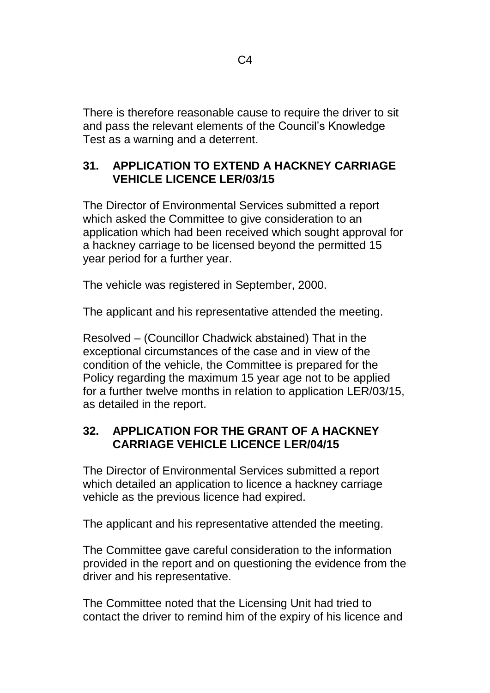There is therefore reasonable cause to require the driver to sit and pass the relevant elements of the Council's Knowledge Test as a warning and a deterrent.

#### **31. APPLICATION TO EXTEND A HACKNEY CARRIAGE VEHICLE LICENCE LER/03/15**

The Director of Environmental Services submitted a report which asked the Committee to give consideration to an application which had been received which sought approval for a hackney carriage to be licensed beyond the permitted 15 year period for a further year.

The vehicle was registered in September, 2000.

The applicant and his representative attended the meeting.

Resolved – (Councillor Chadwick abstained) That in the exceptional circumstances of the case and in view of the condition of the vehicle, the Committee is prepared for the Policy regarding the maximum 15 year age not to be applied for a further twelve months in relation to application LER/03/15, as detailed in the report.

## **32. APPLICATION FOR THE GRANT OF A HACKNEY CARRIAGE VEHICLE LICENCE LER/04/15**

The Director of Environmental Services submitted a report which detailed an application to licence a hackney carriage vehicle as the previous licence had expired.

The applicant and his representative attended the meeting.

The Committee gave careful consideration to the information provided in the report and on questioning the evidence from the driver and his representative.

The Committee noted that the Licensing Unit had tried to contact the driver to remind him of the expiry of his licence and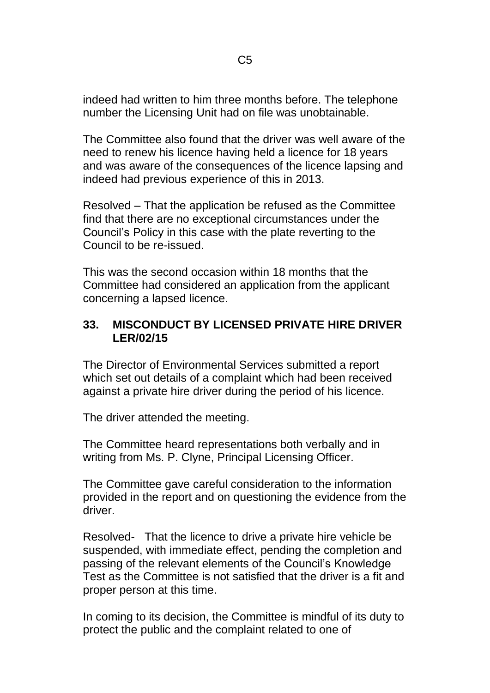indeed had written to him three months before. The telephone number the Licensing Unit had on file was unobtainable.

The Committee also found that the driver was well aware of the need to renew his licence having held a licence for 18 years and was aware of the consequences of the licence lapsing and indeed had previous experience of this in 2013.

Resolved – That the application be refused as the Committee find that there are no exceptional circumstances under the Council's Policy in this case with the plate reverting to the Council to be re-issued.

This was the second occasion within 18 months that the Committee had considered an application from the applicant concerning a lapsed licence.

#### **33. MISCONDUCT BY LICENSED PRIVATE HIRE DRIVER LER/02/15**

The Director of Environmental Services submitted a report which set out details of a complaint which had been received against a private hire driver during the period of his licence.

The driver attended the meeting.

The Committee heard representations both verbally and in writing from Ms. P. Clyne, Principal Licensing Officer.

The Committee gave careful consideration to the information provided in the report and on questioning the evidence from the driver.

Resolved- That the licence to drive a private hire vehicle be suspended, with immediate effect, pending the completion and passing of the relevant elements of the Council's Knowledge Test as the Committee is not satisfied that the driver is a fit and proper person at this time.

In coming to its decision, the Committee is mindful of its duty to protect the public and the complaint related to one of